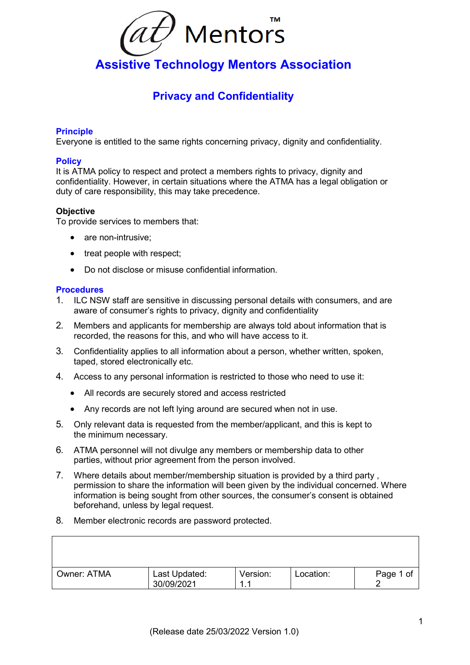

# **Assistive Technology Mentors Association**

## **Privacy and Confidentiality**

### **Principle**

Everyone is entitled to the same rights concerning privacy, dignity and confidentiality.

### **Policy**

It is ATMA policy to respect and protect a members rights to privacy, dignity and confidentiality. However, in certain situations where the ATMA has a legal obligation or duty of care responsibility, this may take precedence.

#### **Objective**

To provide services to members that:

- are non-intrusive:
- treat people with respect;
- Do not disclose or misuse confidential information.

#### **Procedures**

- 1. ILC NSW staff are sensitive in discussing personal details with consumers, and are aware of consumer's rights to privacy, dignity and confidentiality
- 2. Members and applicants for membership are always told about information that is recorded, the reasons for this, and who will have access to it.
- 3. Confidentiality applies to all information about a person, whether written, spoken, taped, stored electronically etc.
- 4. Access to any personal information is restricted to those who need to use it:
	- All records are securely stored and access restricted
	- Any records are not left lying around are secured when not in use.
- 5. Only relevant data is requested from the member/applicant, and this is kept to the minimum necessary.
- 6. ATMA personnel will not divulge any members or membership data to other parties, without prior agreement from the person involved.
- 7. Where details about member/membership situation is provided by a third party , permission to share the information will been given by the individual concerned. Where information is being sought from other sources, the consumer's consent is obtained beforehand, unless by legal request.
- 8. Member electronic records are password protected.

| Owner: ATMA | Last Updated:<br>30/09/2021 | Version:<br>4<br>. . | Location: | Page 1 of |
|-------------|-----------------------------|----------------------|-----------|-----------|